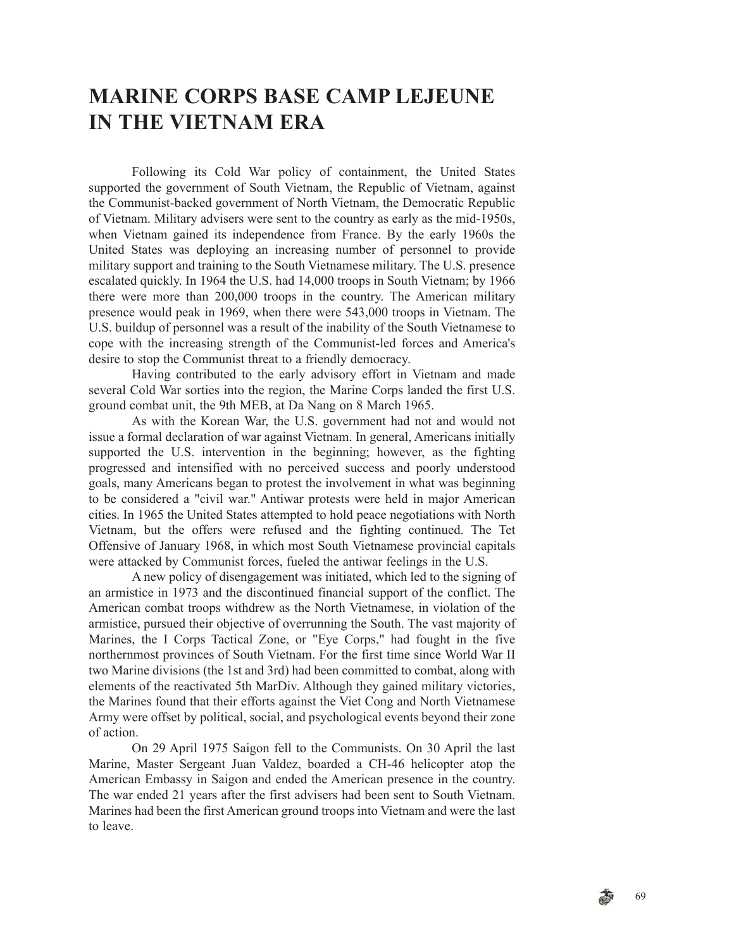# **MARINE CORPS BASE CAMP LEJEUNE IN THE VIETNAM ERA**

Following its Cold War policy of containment, the United States supported the government of South Vietnam, the Republic of Vietnam, against the Communist-backed government of North Vietnam, the Democratic Republic of Vietnam. Military advisers were sent to the country as early as the mid-1950s, when Vietnam gained its independence from France. By the early 1960s the United States was deploying an increasing number of personnel to provide military support and training to the South Vietnamese military. The U.S. presence escalated quickly. In 1964 the U.S. had 14,000 troops in South Vietnam; by 1966 there were more than 200,000 troops in the country. The American military presence would peak in 1969, when there were 543,000 troops in Vietnam. The U.S. buildup of personnel was a result of the inability of the South Vietnamese to cope with the increasing strength of the Communist-led forces and America's desire to stop the Communist threat to a friendly democracy.

Having contributed to the early advisory effort in Vietnam and made several Cold War sorties into the region, the Marine Corps landed the first U.S. ground combat unit, the 9th MEB, at Da Nang on 8 March 1965.

As with the Korean War, the U.S. government had not and would not issue a formal declaration of war against Vietnam. In general, Americans initially supported the U.S. intervention in the beginning; however, as the fighting progressed and intensified with no perceived success and poorly understood goals, many Americans began to protest the involvement in what was beginning to be considered a "civil war." Antiwar protests were held in major American cities. In 1965 the United States attempted to hold peace negotiations with North Vietnam, but the offers were refused and the fighting continued. The Tet Offensive of January 1968, in which most South Vietnamese provincial capitals were attacked by Communist forces, fueled the antiwar feelings in the U.S.

A new policy of disengagement was initiated, which led to the signing of an armistice in 1973 and the discontinued financial support of the conflict. The American combat troops withdrew as the North Vietnamese, in violation of the armistice, pursued their objective of overrunning the South. The vast majority of Marines, the I Corps Tactical Zone, or "Eye Corps," had fought in the five northernmost provinces of South Vietnam. For the first time since World War II two Marine divisions (the 1st and 3rd) had been committed to combat, along with elements of the reactivated 5th MarDiv. Although they gained military victories, the Marines found that their efforts against the Viet Cong and North Vietnamese Army were offset by political, social, and psychological events beyond their zone of action.

On 29 April 1975 Saigon fell to the Communists. On 30 April the last Marine, Master Sergeant Juan Valdez, boarded a CH-46 helicopter atop the American Embassy in Saigon and ended the American presence in the country. The war ended 21 years after the first advisers had been sent to South Vietnam. Marines had been the first American ground troops into Vietnam and were the last to leave.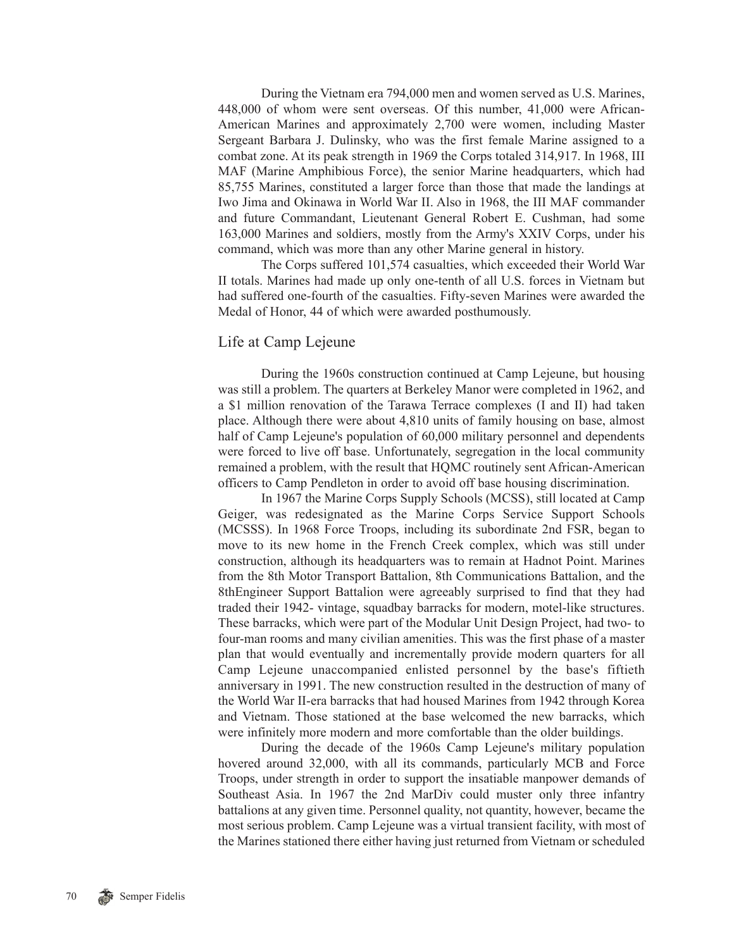During the Vietnam era 794,000 men and women served as U.S. Marines, 448,000 of whom were sent overseas. Of this number, 41,000 were African-American Marines and approximately 2,700 were women, including Master Sergeant Barbara J. Dulinsky, who was the first female Marine assigned to a combat zone. At its peak strength in 1969 the Corps totaled 314,917. In 1968, III MAF (Marine Amphibious Force), the senior Marine headquarters, which had 85,755 Marines, constituted a larger force than those that made the landings at Iwo Jima and Okinawa in World War II. Also in 1968, the III MAF commander and future Commandant, Lieutenant General Robert E. Cushman, had some 163,000 Marines and soldiers, mostly from the Army's XXIV Corps, under his command, which was more than any other Marine general in history.

The Corps suffered 101,574 casualties, which exceeded their World War II totals. Marines had made up only one-tenth of all U.S. forces in Vietnam but had suffered one-fourth of the casualties. Fifty-seven Marines were awarded the Medal of Honor, 44 of which were awarded posthumously.

### Life at Camp Lejeune

During the 1960s construction continued at Camp Lejeune, but housing was still a problem. The quarters at Berkeley Manor were completed in 1962, and a \$1 million renovation of the Tarawa Terrace complexes (I and II) had taken place. Although there were about 4,810 units of family housing on base, almost half of Camp Lejeune's population of 60,000 military personnel and dependents were forced to live off base. Unfortunately, segregation in the local community remained a problem, with the result that HQMC routinely sent African-American officers to Camp Pendleton in order to avoid off base housing discrimination.

In 1967 the Marine Corps Supply Schools (MCSS), still located at Camp Geiger, was redesignated as the Marine Corps Service Support Schools (MCSSS). In 1968 Force Troops, including its subordinate 2nd FSR, began to move to its new home in the French Creek complex, which was still under construction, although its headquarters was to remain at Hadnot Point. Marines from the 8th Motor Transport Battalion, 8th Communications Battalion, and the 8thEngineer Support Battalion were agreeably surprised to find that they had traded their 1942- vintage, squadbay barracks for modern, motel-like structures. These barracks, which were part of the Modular Unit Design Project, had two- to four-man rooms and many civilian amenities. This was the first phase of a master plan that would eventually and incrementally provide modern quarters for all Camp Lejeune unaccompanied enlisted personnel by the base's fiftieth anniversary in 1991. The new construction resulted in the destruction of many of the World War II-era barracks that had housed Marines from 1942 through Korea and Vietnam. Those stationed at the base welcomed the new barracks, which were infinitely more modern and more comfortable than the older buildings.

During the decade of the 1960s Camp Lejeune's military population hovered around 32,000, with all its commands, particularly MCB and Force Troops, under strength in order to support the insatiable manpower demands of Southeast Asia. In 1967 the 2nd MarDiv could muster only three infantry battalions at any given time. Personnel quality, not quantity, however, became the most serious problem. Camp Lejeune was a virtual transient facility, with most of the Marines stationed there either having just returned from Vietnam or scheduled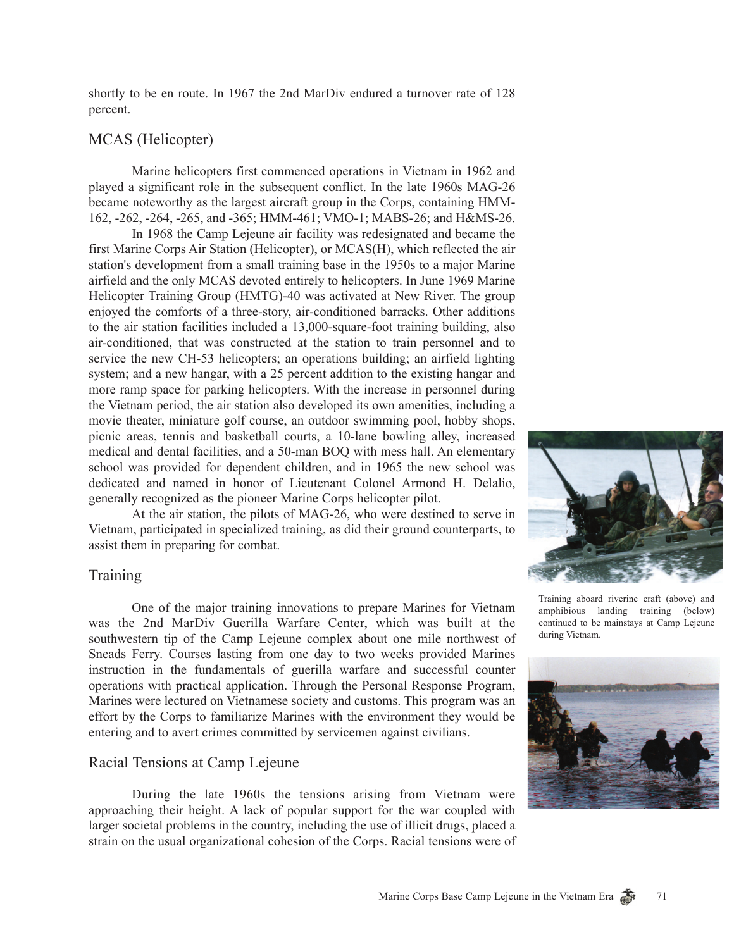shortly to be en route. In 1967 the 2nd MarDiv endured a turnover rate of 128 percent.

## MCAS (Helicopter)

Marine helicopters first commenced operations in Vietnam in 1962 and played a significant role in the subsequent conflict. In the late 1960s MAG-26 became noteworthy as the largest aircraft group in the Corps, containing HMM-162, -262, -264, -265, and -365; HMM-461; VMO-1; MABS-26; and H&MS-26.

In 1968 the Camp Lejeune air facility was redesignated and became the first Marine Corps Air Station (Helicopter), or MCAS(H), which reflected the air station's development from a small training base in the 1950s to a major Marine airfield and the only MCAS devoted entirely to helicopters. In June 1969 Marine Helicopter Training Group (HMTG)-40 was activated at New River. The group enjoyed the comforts of a three-story, air-conditioned barracks. Other additions to the air station facilities included a 13,000-square-foot training building, also air-conditioned, that was constructed at the station to train personnel and to service the new CH-53 helicopters; an operations building; an airfield lighting system; and a new hangar, with a 25 percent addition to the existing hangar and more ramp space for parking helicopters. With the increase in personnel during the Vietnam period, the air station also developed its own amenities, including a movie theater, miniature golf course, an outdoor swimming pool, hobby shops, picnic areas, tennis and basketball courts, a 10-lane bowling alley, increased medical and dental facilities, and a 50-man BOQ with mess hall. An elementary school was provided for dependent children, and in 1965 the new school was dedicated and named in honor of Lieutenant Colonel Armond H. Delalio, generally recognized as the pioneer Marine Corps helicopter pilot.

At the air station, the pilots of MAG-26, who were destined to serve in Vietnam, participated in specialized training, as did their ground counterparts, to assist them in preparing for combat.

### **Training**

One of the major training innovations to prepare Marines for Vietnam was the 2nd MarDiv Guerilla Warfare Center, which was built at the southwestern tip of the Camp Lejeune complex about one mile northwest of Sneads Ferry. Courses lasting from one day to two weeks provided Marines instruction in the fundamentals of guerilla warfare and successful counter operations with practical application. Through the Personal Response Program, Marines were lectured on Vietnamese society and customs. This program was an effort by the Corps to familiarize Marines with the environment they would be entering and to avert crimes committed by servicemen against civilians.

### Racial Tensions at Camp Lejeune

During the late 1960s the tensions arising from Vietnam were approaching their height. A lack of popular support for the war coupled with larger societal problems in the country, including the use of illicit drugs, placed a strain on the usual organizational cohesion of the Corps. Racial tensions were of



Training aboard riverine craft (above) and amphibious landing training (below) continued to be mainstays at Camp Lejeune during Vietnam.



71